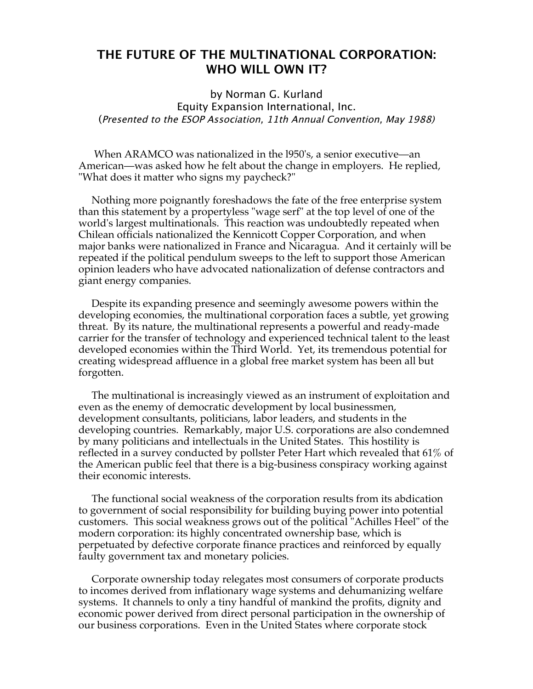## **THE FUTURE OF THE MULTINATIONAL CORPORATION: WHO WILL OWN IT?**

by Norman G. Kurland Equity Expansion International, Inc. (Presented to the ESOP Association, 11th Annual Convention, May 1988)

When ARAMCO was nationalized in the l950's, a senior executive—an American—was asked how he felt about the change in employers. He replied, "What does it matter who signs my paycheck?"

 Nothing more poignantly foreshadows the fate of the free enterprise system than this statement by a propertyless "wage serf" at the top level of one of the world's largest multinationals. This reaction was undoubtedly repeated when Chilean officials nationalized the Kennicott Copper Corporation, and when major banks were nationalized in France and Nicaragua. And it certainly will be repeated if the political pendulum sweeps to the left to support those American opinion leaders who have advocated nationalization of defense contractors and giant energy companies.

 Despite its expanding presence and seemingly awesome powers within the developing economies, the multinational corporation faces a subtle, yet growing threat. By its nature, the multinational represents a powerful and ready-made carrier for the transfer of technology and experienced technical talent to the least developed economies within the Third World. Yet, its tremendous potential for creating widespread affluence in a global free market system has been all but forgotten.

 The multinational is increasingly viewed as an instrument of exploitation and even as the enemy of democratic development by local businessmen, development consultants, politicians, labor leaders, and students in the developing countries. Remarkably, major U.S. corporations are also condemned by many politicians and intellectuals in the United States. This hostility is reflected in a survey conducted by pollster Peter Hart which revealed that 61% of the American public feel that there is a big-business conspiracy working against their economic interests.

 The functional social weakness of the corporation results from its abdication to government of social responsibility for building buying power into potential customers. This social weakness grows out of the political "Achilles Heel" of the modern corporation: its highly concentrated ownership base, which is perpetuated by defective corporate finance practices and reinforced by equally faulty government tax and monetary policies.

 Corporate ownership today relegates most consumers of corporate products to incomes derived from inflationary wage systems and dehumanizing welfare systems. It channels to only a tiny handful of mankind the profits, dignity and economic power derived from direct personal participation in the ownership of our business corporations. Even in the United States where corporate stock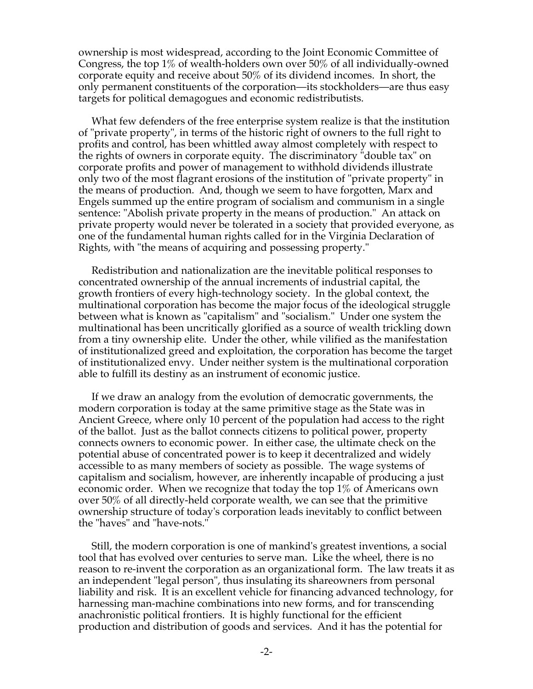ownership is most widespread, according to the Joint Economic Committee of Congress, the top 1% of wealth-holders own over 50% of all individually-owned corporate equity and receive about 50% of its dividend incomes. In short, the only permanent constituents of the corporation—its stockholders—are thus easy targets for political demagogues and economic redistributists.

 What few defenders of the free enterprise system realize is that the institution of "private property", in terms of the historic right of owners to the full right to profits and control, has been whittled away almost completely with respect to the rights of owners in corporate equity. The discriminatory "double tax" on corporate profits and power of management to withhold dividends illustrate only two of the most flagrant erosions of the institution of "private property" in the means of production. And, though we seem to have forgotten, Marx and Engels summed up the entire program of socialism and communism in a single sentence: "Abolish private property in the means of production." An attack on private property would never be tolerated in a society that provided everyone, as one of the fundamental human rights called for in the Virginia Declaration of Rights, with "the means of acquiring and possessing property."

 Redistribution and nationalization are the inevitable political responses to concentrated ownership of the annual increments of industrial capital, the growth frontiers of every high-technology society. In the global context, the multinational corporation has become the major focus of the ideological struggle between what is known as "capitalism" and "socialism." Under one system the multinational has been uncritically glorified as a source of wealth trickling down from a tiny ownership elite. Under the other, while vilified as the manifestation of institutionalized greed and exploitation, the corporation has become the target of institutionalized envy. Under neither system is the multinational corporation able to fulfill its destiny as an instrument of economic justice.

 If we draw an analogy from the evolution of democratic governments, the modern corporation is today at the same primitive stage as the State was in Ancient Greece, where only 10 percent of the population had access to the right of the ballot. Just as the ballot connects citizens to political power, property connects owners to economic power. In either case, the ultimate check on the potential abuse of concentrated power is to keep it decentralized and widely accessible to as many members of society as possible. The wage systems of capitalism and socialism, however, are inherently incapable of producing a just economic order. When we recognize that today the top 1% of Americans own over 50% of all directly-held corporate wealth, we can see that the primitive ownership structure of today's corporation leads inevitably to conflict between the "haves" and "have-nots."

 Still, the modern corporation is one of mankind's greatest inventions, a social tool that has evolved over centuries to serve man. Like the wheel, there is no reason to re-invent the corporation as an organizational form. The law treats it as an independent "legal person", thus insulating its shareowners from personal liability and risk. It is an excellent vehicle for financing advanced technology, for harnessing man-machine combinations into new forms, and for transcending anachronistic political frontiers. It is highly functional for the efficient production and distribution of goods and services. And it has the potential for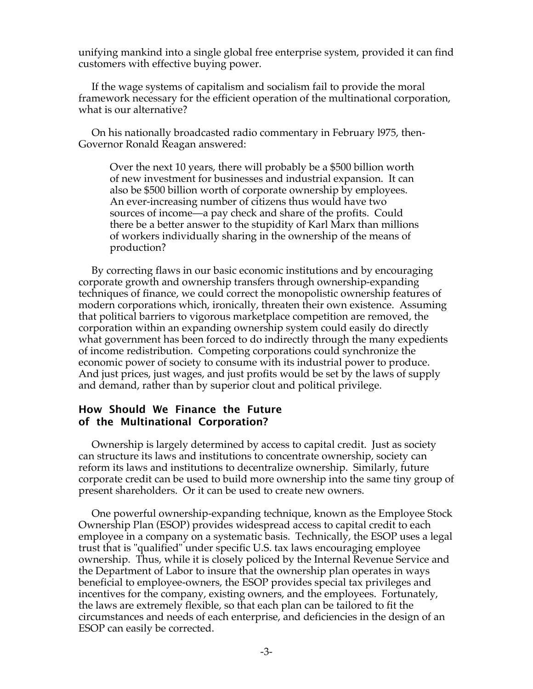unifying mankind into a single global free enterprise system, provided it can find customers with effective buying power.

 If the wage systems of capitalism and socialism fail to provide the moral framework necessary for the efficient operation of the multinational corporation, what is our alternative?

 On his nationally broadcasted radio commentary in February l975, then-Governor Ronald Reagan answered:

Over the next 10 years, there will probably be a \$500 billion worth of new investment for businesses and industrial expansion. It can also be \$500 billion worth of corporate ownership by employees. An ever-increasing number of citizens thus would have two sources of income—a pay check and share of the profits. Could there be a better answer to the stupidity of Karl Marx than millions of workers individually sharing in the ownership of the means of production?

 By correcting flaws in our basic economic institutions and by encouraging corporate growth and ownership transfers through ownership-expanding techniques of finance, we could correct the monopolistic ownership features of modern corporations which, ironically, threaten their own existence. Assuming that political barriers to vigorous marketplace competition are removed, the corporation within an expanding ownership system could easily do directly what government has been forced to do indirectly through the many expedients of income redistribution. Competing corporations could synchronize the economic power of society to consume with its industrial power to produce. And just prices, just wages, and just profits would be set by the laws of supply and demand, rather than by superior clout and political privilege.

## **How Should We Finance the Future of the Multinational Corporation?**

 Ownership is largely determined by access to capital credit. Just as society can structure its laws and institutions to concentrate ownership, society can reform its laws and institutions to decentralize ownership. Similarly, future corporate credit can be used to build more ownership into the same tiny group of present shareholders. Or it can be used to create new owners.

 One powerful ownership-expanding technique, known as the Employee Stock Ownership Plan (ESOP) provides widespread access to capital credit to each employee in a company on a systematic basis. Technically, the ESOP uses a legal trust that is "qualified" under specific U.S. tax laws encouraging employee ownership. Thus, while it is closely policed by the Internal Revenue Service and the Department of Labor to insure that the ownership plan operates in ways beneficial to employee-owners, the ESOP provides special tax privileges and incentives for the company, existing owners, and the employees. Fortunately, the laws are extremely flexible, so that each plan can be tailored to fit the circumstances and needs of each enterprise, and deficiencies in the design of an ESOP can easily be corrected.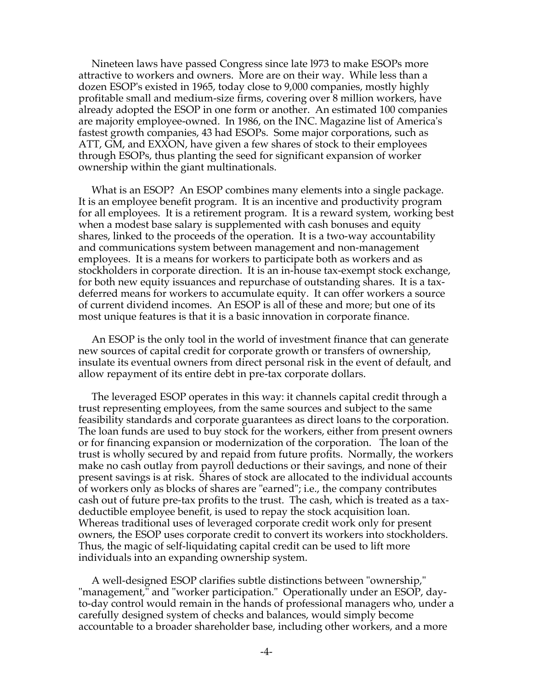Nineteen laws have passed Congress since late l973 to make ESOPs more attractive to workers and owners. More are on their way. While less than a dozen ESOP's existed in 1965, today close to 9,000 companies, mostly highly profitable small and medium-size firms, covering over 8 million workers, have already adopted the ESOP in one form or another. An estimated 100 companies are majority employee-owned. In 1986, on the INC. Magazine list of America's fastest growth companies, 43 had ESOPs. Some major corporations, such as ATT, GM, and EXXON, have given a few shares of stock to their employees through ESOPs, thus planting the seed for significant expansion of worker ownership within the giant multinationals.

 What is an ESOP? An ESOP combines many elements into a single package. It is an employee benefit program. It is an incentive and productivity program for all employees. It is a retirement program. It is a reward system, working best when a modest base salary is supplemented with cash bonuses and equity shares, linked to the proceeds of the operation. It is a two-way accountability and communications system between management and non-management employees. It is a means for workers to participate both as workers and as stockholders in corporate direction. It is an in-house tax-exempt stock exchange, for both new equity issuances and repurchase of outstanding shares. It is a taxdeferred means for workers to accumulate equity. It can offer workers a source of current dividend incomes. An ESOP is all of these and more; but one of its most unique features is that it is a basic innovation in corporate finance.

 An ESOP is the only tool in the world of investment finance that can generate new sources of capital credit for corporate growth or transfers of ownership, insulate its eventual owners from direct personal risk in the event of default, and allow repayment of its entire debt in pre-tax corporate dollars.

 The leveraged ESOP operates in this way: it channels capital credit through a trust representing employees, from the same sources and subject to the same feasibility standards and corporate guarantees as direct loans to the corporation. The loan funds are used to buy stock for the workers, either from present owners or for financing expansion or modernization of the corporation. The loan of the trust is wholly secured by and repaid from future profits. Normally, the workers make no cash outlay from payroll deductions or their savings, and none of their present savings is at risk. Shares of stock are allocated to the individual accounts of workers only as blocks of shares are "earned"; i.e., the company contributes cash out of future pre-tax profits to the trust. The cash, which is treated as a taxdeductible employee benefit, is used to repay the stock acquisition loan. Whereas traditional uses of leveraged corporate credit work only for present owners, the ESOP uses corporate credit to convert its workers into stockholders. Thus, the magic of self-liquidating capital credit can be used to lift more individuals into an expanding ownership system.

 A well-designed ESOP clarifies subtle distinctions between "ownership," "management," and "worker participation." Operationally under an ESOP, dayto-day control would remain in the hands of professional managers who, under a carefully designed system of checks and balances, would simply become accountable to a broader shareholder base, including other workers, and a more